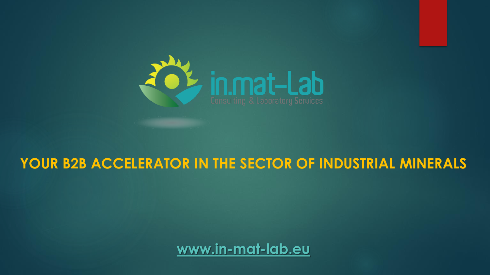

#### **YOUR B2B ACCELERATOR IN THE SECTOR OF INDUSTRIAL MINERALS**

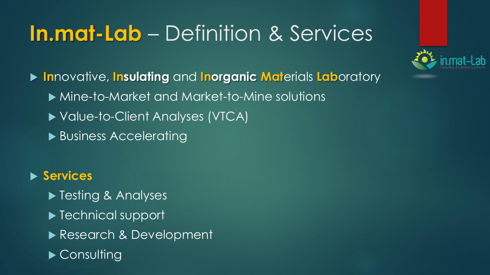### **In.mat-Lab** – Definition & Services



 **In**novative, **Insulating** and **Inorganic Mat**erials **Lab**oratory Mine-to-Market and Market-to-Mine solutions ▶ Value-to-Client Analyses (VTCA) ▶ Business Accelerating

#### **Services**

- ▶ Testing & Analyses
- ▶ Technical support
- Research & Development
- ▶ Consulting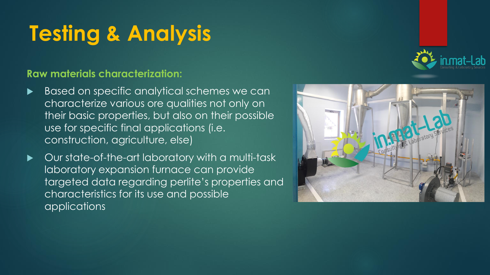## **Testing & Analysis**

#### **Raw materials characterization:**

- Based on specific analytical schemes we can characterize various ore qualities not only on their basic properties, but also on their possible use for specific final applications (i.e. construction, agriculture, else)
- Our state-of-the-art laboratory with a multi-task laboratory expansion furnace can provide targeted data regarding perlite's properties and characteristics for its use and possible applications

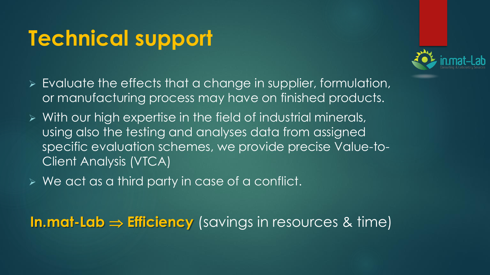#### **Technical support**



- ➢ Evaluate the effects that a change in supplier, formulation, or manufacturing process may have on finished products.
- ➢ With our high expertise in the field of industrial minerals, using also the testing and analyses data from assigned specific evaluation schemes, we provide precise Value-to-Client Analysis (VTCA)
- ➢ We act as a third party in case of a conflict.

**In.mat-Lab**  $\Rightarrow$  **Efficiency** (savings in resources & time)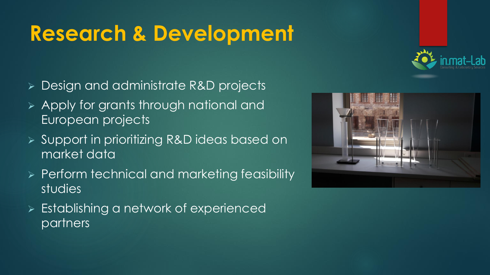### **Research & Development**

- ➢ Design and administrate R&D projects
- ➢ Apply for grants through national and European projects
- ➢ Support in prioritizing R&D ideas based on market data
- ➢ Perform technical and marketing feasibility studies
- ➢ Establishing a network of experienced partners



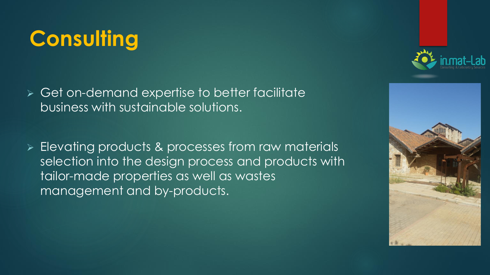# **Consulting**

- ➢ Get on-demand expertise to better facilitate business with sustainable solutions.
- ➢ Elevating products & processes from raw materials selection into the design process and products with tailor-made properties as well as wastes management and by-products.



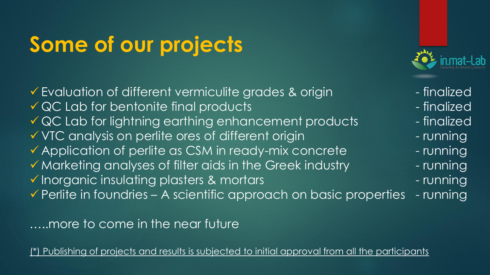### **Some of our projects**

▼ Evaluation of different vermiculite grades & origin Finalized  $\sqrt{a}$  QC Lab for bentonite final products  $\sqrt{a}$  - finalized  $\sqrt{a}$  QC Lab for lightning earthing enhancement products  $\sqrt{a}$  - finalized ▼ VTC analysis on perlite ores of different origin - running  $\checkmark$  Application of perlite as CSM in ready-mix concrete  $\checkmark$  - running  $\checkmark$  Marketing analyses of filter aids in the Greek industry  $\overline{\phantom{a}}$  - running ▼ Inorganic insulating plasters & mortars - Tunning  $\checkmark$  Perlite in foundries – A scientific approach on basic properties - running

…..more to come in the near future

Publishing of projects and results is subjected to initial approval from all the participants